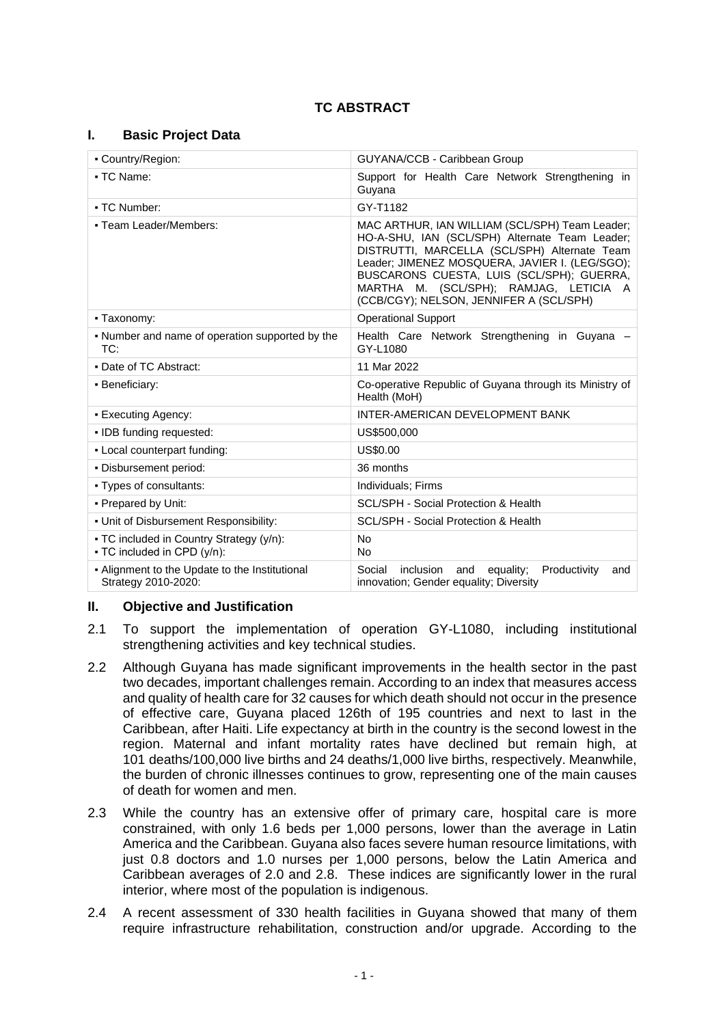## **TC ABSTRACT**

#### **I. Basic Project Data**

| - Country/Region:                                                       | GUYANA/CCB - Caribbean Group                                                                                                                                                                                                                                                                                                         |  |  |
|-------------------------------------------------------------------------|--------------------------------------------------------------------------------------------------------------------------------------------------------------------------------------------------------------------------------------------------------------------------------------------------------------------------------------|--|--|
| • TC Name:                                                              | Support for Health Care Network Strengthening in<br>Guyana                                                                                                                                                                                                                                                                           |  |  |
| • TC Number:                                                            | GY-T1182                                                                                                                                                                                                                                                                                                                             |  |  |
| - Team Leader/Members:                                                  | MAC ARTHUR, IAN WILLIAM (SCL/SPH) Team Leader;<br>HO-A-SHU, IAN (SCL/SPH) Alternate Team Leader;<br>DISTRUTTI, MARCELLA (SCL/SPH) Alternate Team<br>Leader; JIMENEZ MOSQUERA, JAVIER I. (LEG/SGO);<br>BUSCARONS CUESTA, LUIS (SCL/SPH); GUERRA,<br>MARTHA M. (SCL/SPH); RAMJAG, LETICIA A<br>(CCB/CGY); NELSON, JENNIFER A (SCL/SPH) |  |  |
| • Taxonomy:                                                             | <b>Operational Support</b>                                                                                                                                                                                                                                                                                                           |  |  |
| • Number and name of operation supported by the<br>TC:                  | Health Care Network Strengthening in Guyana -<br>GY-L1080                                                                                                                                                                                                                                                                            |  |  |
| • Date of TC Abstract:                                                  | 11 Mar 2022                                                                                                                                                                                                                                                                                                                          |  |  |
| • Beneficiary:                                                          | Co-operative Republic of Guyana through its Ministry of<br>Health (MoH)                                                                                                                                                                                                                                                              |  |  |
| • Executing Agency:                                                     | INTER-AMERICAN DEVELOPMENT BANK                                                                                                                                                                                                                                                                                                      |  |  |
| • IDB funding requested:                                                | US\$500,000                                                                                                                                                                                                                                                                                                                          |  |  |
| - Local counterpart funding:                                            | US\$0.00                                                                                                                                                                                                                                                                                                                             |  |  |
| · Disbursement period:                                                  | 36 months                                                                                                                                                                                                                                                                                                                            |  |  |
| • Types of consultants:                                                 | Individuals; Firms                                                                                                                                                                                                                                                                                                                   |  |  |
| - Prepared by Unit:                                                     | <b>SCL/SPH - Social Protection &amp; Health</b>                                                                                                                                                                                                                                                                                      |  |  |
| • Unit of Disbursement Responsibility:                                  | <b>SCL/SPH - Social Protection &amp; Health</b>                                                                                                                                                                                                                                                                                      |  |  |
| • TC included in Country Strategy (y/n):<br>• TC included in CPD (y/n): | <b>No</b><br><b>No</b>                                                                                                                                                                                                                                                                                                               |  |  |
| - Alignment to the Update to the Institutional<br>Strategy 2010-2020:   | Productivity<br>Social<br>inclusion<br>equality;<br>and<br>and<br>innovation; Gender equality; Diversity                                                                                                                                                                                                                             |  |  |

### **II. Objective and Justification**

- 2.1 To support the implementation of operation GY-L1080, including institutional strengthening activities and key technical studies.
- 2.2 Although Guyana has made significant improvements in the health sector in the past two decades, important challenges remain. According to an index that measures access and quality of health care for 32 causes for which death should not occur in the presence of effective care, Guyana placed 126th of 195 countries and next to last in the Caribbean, after Haiti. Life expectancy at birth in the country is the second lowest in the region. Maternal and infant mortality rates have declined but remain high, at 101 deaths/100,000 live births and 24 deaths/1,000 live births, respectively. Meanwhile, the burden of chronic illnesses continues to grow, representing one of the main causes of death for women and men.
- 2.3 While the country has an extensive offer of primary care, hospital care is more constrained, with only 1.6 beds per 1,000 persons, lower than the average in Latin America and the Caribbean. Guyana also faces severe human resource limitations, with just 0.8 doctors and 1.0 nurses per 1,000 persons, below the Latin America and Caribbean averages of 2.0 and 2.8. These indices are significantly lower in the rural interior, where most of the population is indigenous.
- 2.4 A recent assessment of 330 health facilities in Guyana showed that many of them require infrastructure rehabilitation, construction and/or upgrade. According to the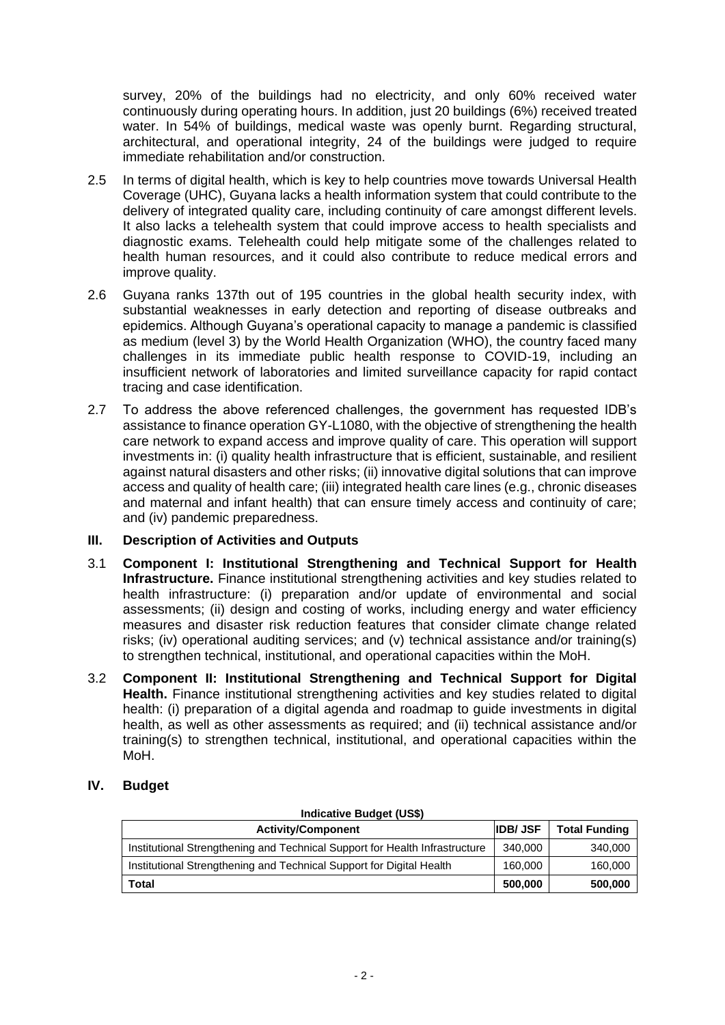survey, 20% of the buildings had no electricity, and only 60% received water continuously during operating hours. In addition, just 20 buildings (6%) received treated water. In 54% of buildings, medical waste was openly burnt. Regarding structural, architectural, and operational integrity, 24 of the buildings were judged to require immediate rehabilitation and/or construction.

- 2.5 In terms of digital health, which is key to help countries move towards Universal Health Coverage (UHC), Guyana lacks a health information system that could contribute to the delivery of integrated quality care, including continuity of care amongst different levels. It also lacks a telehealth system that could improve access to health specialists and diagnostic exams. Telehealth could help mitigate some of the challenges related to health human resources, and it could also contribute to reduce medical errors and improve quality.
- 2.6 Guyana ranks 137th out of 195 countries in the global health security index, with substantial weaknesses in early detection and reporting of disease outbreaks and epidemics. Although Guyana's operational capacity to manage a pandemic is classified as medium (level 3) by the World Health Organization (WHO), the country faced many challenges in its immediate public health response to COVID-19, including an insufficient network of laboratories and limited surveillance capacity for rapid contact tracing and case identification.
- 2.7 To address the above referenced challenges, the government has requested IDB's assistance to finance operation GY-L1080, with the objective of strengthening the health care network to expand access and improve quality of care. This operation will support investments in: (i) quality health infrastructure that is efficient, sustainable, and resilient against natural disasters and other risks; (ii) innovative digital solutions that can improve access and quality of health care; (iii) integrated health care lines (e.g., chronic diseases and maternal and infant health) that can ensure timely access and continuity of care; and (iv) pandemic preparedness.

### **III. Description of Activities and Outputs**

- 3.1 **Component I: Institutional Strengthening and Technical Support for Health Infrastructure.** Finance institutional strengthening activities and key studies related to health infrastructure: (i) preparation and/or update of environmental and social assessments; (ii) design and costing of works, including energy and water efficiency measures and disaster risk reduction features that consider climate change related risks; (iv) operational auditing services; and (v) technical assistance and/or training(s) to strengthen technical, institutional, and operational capacities within the MoH.
- 3.2 **Component II: Institutional Strengthening and Technical Support for Digital Health.** Finance institutional strengthening activities and key studies related to digital health: (i) preparation of a digital agenda and roadmap to guide investments in digital health, as well as other assessments as required; and (ii) technical assistance and/or training(s) to strengthen technical, institutional, and operational capacities within the MoH.

# **IV. Budget**

| <b>Indicative Budget (US\$)</b>                                             |         |                      |  |
|-----------------------------------------------------------------------------|---------|----------------------|--|
| <b>IDB</b> /JSF<br><b>Activity/Component</b>                                |         | <b>Total Funding</b> |  |
| Institutional Strengthening and Technical Support for Health Infrastructure | 340,000 | 340,000              |  |
| Institutional Strengthening and Technical Support for Digital Health        | 160,000 | 160,000              |  |
| Total                                                                       | 500,000 | 500,000              |  |